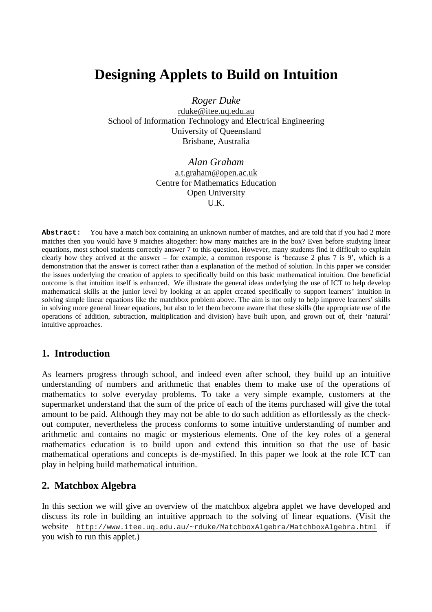# **Designing Applets to Build on Intuition**

*Roger Duke*

rduke@itee.uq.edu.au School of Information Technology and Electrical Engineering University of Queensland Brisbane, Australia

> *Alan Graham* a.t.graham@open.ac.uk Centre for Mathematics Education Open University U.K.

**Abstract**: You have a match box containing an unknown number of matches, and are told that if you had 2 more matches then you would have 9 matches altogether: how many matches are in the box? Even before studying linear equations, most school students correctly answer 7 to this question. However, many students find it difficult to explain clearly how they arrived at the answer – for example, a common response is 'because 2 plus 7 is 9', which is a demonstration that the answer is correct rather than a explanation of the method of solution. In this paper we consider the issues underlying the creation of applets to specifically build on this basic mathematical intuition. One beneficial outcome is that intuition itself is enhanced. We illustrate the general ideas underlying the use of ICT to help develop mathematical skills at the junior level by looking at an applet created specifically to support learners' intuition in solving simple linear equations like the matchbox problem above. The aim is not only to help improve learners' skills in solving more general linear equations, but also to let them become aware that these skills (the appropriate use of the operations of addition, subtraction, multiplication and division) have built upon, and grown out of, their 'natural' intuitive approaches.

## **1. Introduction**

As learners progress through school, and indeed even after school, they build up an intuitive understanding of numbers and arithmetic that enables them to make use of the operations of mathematics to solve everyday problems. To take a very simple example, customers at the supermarket understand that the sum of the price of each of the items purchased will give the total amount to be paid. Although they may not be able to do such addition as effortlessly as the checkout computer, nevertheless the process conforms to some intuitive understanding of number and arithmetic and contains no magic or mysterious elements. One of the key roles of a general mathematics education is to build upon and extend this intuition so that the use of basic mathematical operations and concepts is de-mystified. In this paper we look at the role ICT can play in helping build mathematical intuition.

## **2. Matchbox Algebra**

In this section we will give an overview of the matchbox algebra applet we have developed and discuss its role in building an intuitive approach to the solving of linear equations. (Visit the website http://www.itee.uq.edu.au/~rduke/MatchboxAlgebra/MatchboxAlgebra.html if you wish to run this applet.)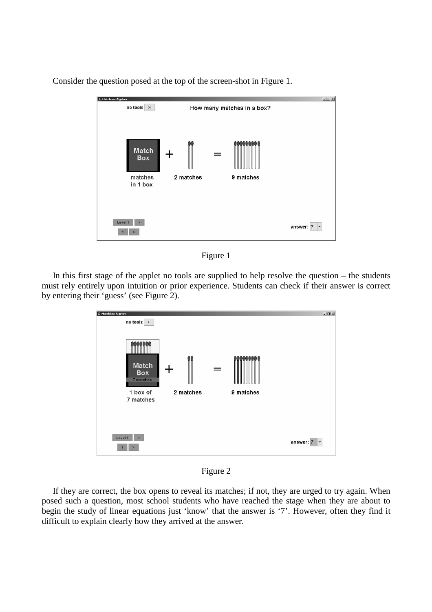Consider the question posed at the top of the screen-shot in Figure 1.

| Matchbox Algebra                                  |                             | $-12x$                                |
|---------------------------------------------------|-----------------------------|---------------------------------------|
| $\frac{1}{2}$ no tools $\geq$                     | How many matches in a box?  |                                       |
| <b>Match</b><br><b>Box</b><br>matches<br>in 1 box | ш<br>2 matches<br>9 matches |                                       |
| Level 1<br>$\blacktriangleright$                  |                             | answer: ?<br>$\vert \mathbf{v} \vert$ |

Figure 1

In this first stage of the applet no tools are supplied to help resolve the question – the students must rely entirely upon intuition or prior experience. Students can check if their answer is correct by entering their 'guess' (see Figure 2).



Figure 2

If they are correct, the box opens to reveal its matches; if not, they are urged to try again. When posed such a question, most school students who have reached the stage when they are about to begin the study of linear equations just 'know' that the answer is '7'. However, often they find it difficult to explain clearly how they arrived at the answer.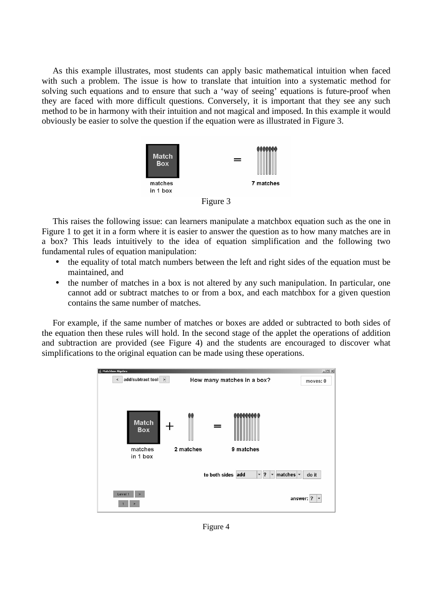As this example illustrates, most students can apply basic mathematical intuition when faced with such a problem. The issue is how to translate that intuition into a systematic method for solving such equations and to ensure that such a 'way of seeing' equations is future-proof when they are faced with more difficult questions. Conversely, it is important that they see any such method to be in harmony with their intuition and not magical and imposed. In this example it would obviously be easier to solve the question if the equation were as illustrated in Figure 3.



Figure 3

This raises the following issue: can learners manipulate a matchbox equation such as the one in Figure 1 to get it in a form where it is easier to answer the question as to how many matches are in a box? This leads intuitively to the idea of equation simplification and the following two fundamental rules of equation manipulation:

- the equality of total match numbers between the left and right sides of the equation must be maintained, and
- the number of matches in a box is not altered by any such manipulation. In particular, one cannot add or subtract matches to or from a box, and each matchbox for a given question contains the same number of matches.

For example, if the same number of matches or boxes are added or subtracted to both sides of the equation then these rules will hold. In the second stage of the applet the operations of addition and subtraction are provided (see Figure 4) and the students are encouraged to discover what simplifications to the original equation can be made using these operations.



Figure 4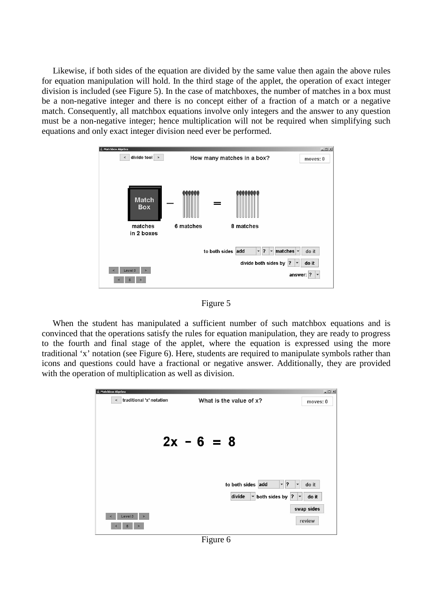Likewise, if both sides of the equation are divided by the same value then again the above rules for equation manipulation will hold. In the third stage of the applet, the operation of exact integer division is included (see Figure 5). In the case of matchboxes, the number of matches in a box must be a non-negative integer and there is no concept either of a fraction of a match or a negative match. Consequently, all matchbox equations involve only integers and the answer to any question must be a non-negative integer; hence multiplication will not be required when simplifying such equations and only exact integer division need ever be performed.



Figure 5

When the student has manipulated a sufficient number of such matchbox equations and is convinced that the operations satisfy the rules for equation manipulation, they are ready to progress to the fourth and final stage of the applet, where the equation is expressed using the more traditional 'x' notation (see Figure 6). Here, students are required to manipulate symbols rather than icons and questions could have a fractional or negative answer. Additionally, they are provided with the operation of multiplication as well as division.



Figure 6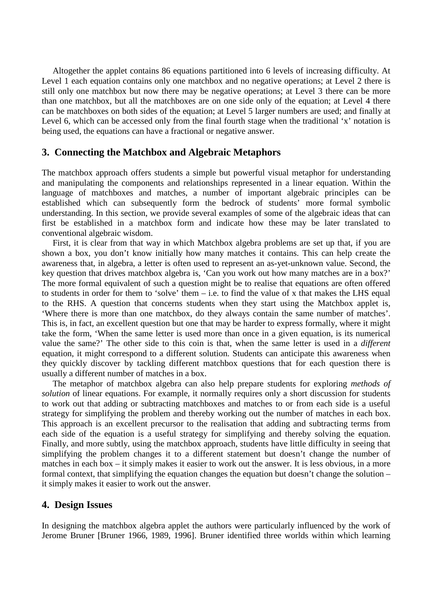Altogether the applet contains 86 equations partitioned into 6 levels of increasing difficulty. At Level 1 each equation contains only one matchbox and no negative operations; at Level 2 there is still only one matchbox but now there may be negative operations; at Level 3 there can be more than one matchbox, but all the matchboxes are on one side only of the equation; at Level 4 there can be matchboxes on both sides of the equation; at Level 5 larger numbers are used; and finally at Level 6, which can be accessed only from the final fourth stage when the traditional 'x' notation is being used, the equations can have a fractional or negative answer.

### **3. Connecting the Matchbox and Algebraic Metaphors**

The matchbox approach offers students a simple but powerful visual metaphor for understanding and manipulating the components and relationships represented in a linear equation. Within the language of matchboxes and matches, a number of important algebraic principles can be established which can subsequently form the bedrock of students' more formal symbolic understanding. In this section, we provide several examples of some of the algebraic ideas that can first be established in a matchbox form and indicate how these may be later translated to conventional algebraic wisdom.

First, it is clear from that way in which Matchbox algebra problems are set up that, if you are shown a box, you don't know initially how many matches it contains. This can help create the awareness that, in algebra, a letter is often used to represent an as-yet-unknown value. Second, the key question that drives matchbox algebra is, 'Can you work out how many matches are in a box?' The more formal equivalent of such a question might be to realise that equations are often offered to students in order for them to 'solve' them  $-$  i.e. to find the value of x that makes the LHS equal to the RHS. A question that concerns students when they start using the Matchbox applet is, 'Where there is more than one matchbox, do they always contain the same number of matches'. This is, in fact, an excellent question but one that may be harder to express formally, where it might take the form, 'When the same letter is used more than once in a given equation, is its numerical value the same?' The other side to this coin is that, when the same letter is used in a *different* equation, it might correspond to a different solution. Students can anticipate this awareness when they quickly discover by tackling different matchbox questions that for each question there is usually a different number of matches in a box.

The metaphor of matchbox algebra can also help prepare students for exploring *methods of solution* of linear equations. For example, it normally requires only a short discussion for students to work out that adding or subtracting matchboxes and matches to or from each side is a useful strategy for simplifying the problem and thereby working out the number of matches in each box. This approach is an excellent precursor to the realisation that adding and subtracting terms from each side of the equation is a useful strategy for simplifying and thereby solving the equation. Finally, and more subtly, using the matchbox approach, students have little difficulty in seeing that simplifying the problem changes it to a different statement but doesn't change the number of matches in each box – it simply makes it easier to work out the answer. It is less obvious, in a more formal context, that simplifying the equation changes the equation but doesn't change the solution – it simply makes it easier to work out the answer.

#### **4. Design Issues**

In designing the matchbox algebra applet the authors were particularly influenced by the work of Jerome Bruner [Bruner 1966, 1989, 1996]. Bruner identified three worlds within which learning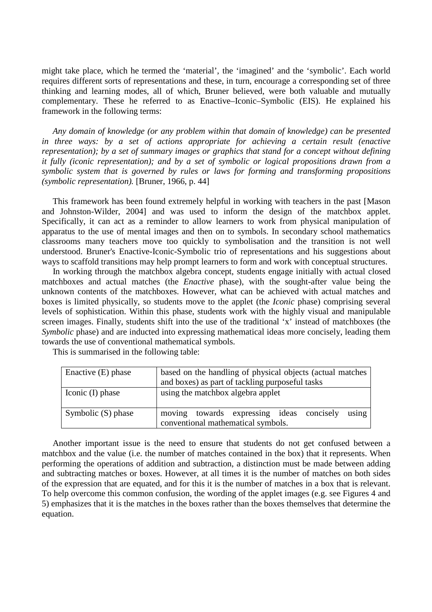might take place, which he termed the 'material', the 'imagined' and the 'symbolic'. Each world requires different sorts of representations and these, in turn, encourage a corresponding set of three thinking and learning modes, all of which, Bruner believed, were both valuable and mutually complementary. These he referred to as Enactive–Iconic–Symbolic (EIS). He explained his framework in the following terms:

*Any domain of knowledge (or any problem within that domain of knowledge) can be presented in three ways: by a set of actions appropriate for achieving a certain result (enactive representation); by a set of summary images or graphics that stand for a concept without defining it fully (iconic representation); and by a set of symbolic or logical propositions drawn from a symbolic system that is governed by rules or laws for forming and transforming propositions (symbolic representation).* [Bruner, 1966, p. 44]

This framework has been found extremely helpful in working with teachers in the past [Mason and Johnston-Wilder, 2004] and was used to inform the design of the matchbox applet. Specifically, it can act as a reminder to allow learners to work from physical manipulation of apparatus to the use of mental images and then on to symbols. In secondary school mathematics classrooms many teachers move too quickly to symbolisation and the transition is not well understood. Bruner's Enactive-Iconic-Symbolic trio of representations and his suggestions about ways to scaffold transitions may help prompt learners to form and work with conceptual structures.

In working through the matchbox algebra concept, students engage initially with actual closed matchboxes and actual matches (the *Enactive* phase), with the sought-after value being the unknown contents of the matchboxes. However, what can be achieved with actual matches and boxes is limited physically, so students move to the applet (the *Iconic* phase) comprising several levels of sophistication. Within this phase, students work with the highly visual and manipulable screen images. Finally, students shift into the use of the traditional 'x' instead of matchboxes (the *Symbolic* phase) and are inducted into expressing mathematical ideas more concisely, leading them towards the use of conventional mathematical symbols.

This is summarised in the following table:

| Enactive $(E)$ phase | based on the handling of physical objects (actual matches<br>and boxes) as part of tackling purposeful tasks |  |
|----------------------|--------------------------------------------------------------------------------------------------------------|--|
| Iconic (I) phase     | using the matchbox algebra applet                                                                            |  |
| Symbolic (S) phase   | using<br>moving towards expressing ideas concisely<br>conventional mathematical symbols.                     |  |

Another important issue is the need to ensure that students do not get confused between a matchbox and the value (i.e. the number of matches contained in the box) that it represents. When performing the operations of addition and subtraction, a distinction must be made between adding and subtracting matches or boxes. However, at all times it is the number of matches on both sides of the expression that are equated, and for this it is the number of matches in a box that is relevant. To help overcome this common confusion, the wording of the applet images (e.g. see Figures 4 and 5) emphasizes that it is the matches in the boxes rather than the boxes themselves that determine the equation.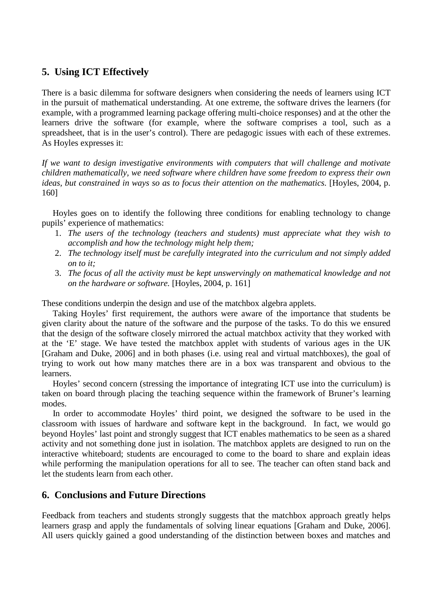## **5. Using ICT Effectively**

There is a basic dilemma for software designers when considering the needs of learners using ICT in the pursuit of mathematical understanding. At one extreme, the software drives the learners (for example, with a programmed learning package offering multi-choice responses) and at the other the learners drive the software (for example, where the software comprises a tool, such as a spreadsheet, that is in the user's control). There are pedagogic issues with each of these extremes. As Hoyles expresses it:

*If we want to design investigative environments with computers that will challenge and motivate children mathematically, we need software where children have some freedom to express their own ideas, but constrained in ways so as to focus their attention on the mathematics.* [Hoyles, 2004, p. 160]

Hoyles goes on to identify the following three conditions for enabling technology to change pupils' experience of mathematics:

- 1. *The users of the technology (teachers and students) must appreciate what they wish to accomplish and how the technology might help them;*
- 2. *The technology itself must be carefully integrated into the curriculum and not simply added on to it;*
- 3. *The focus of all the activity must be kept unswervingly on mathematical knowledge and not on the hardware or software.* [Hoyles, 2004, p. 161]

These conditions underpin the design and use of the matchbox algebra applets.

Taking Hoyles' first requirement, the authors were aware of the importance that students be given clarity about the nature of the software and the purpose of the tasks. To do this we ensured that the design of the software closely mirrored the actual matchbox activity that they worked with at the 'E' stage. We have tested the matchbox applet with students of various ages in the UK [Graham and Duke, 2006] and in both phases (i.e. using real and virtual matchboxes), the goal of trying to work out how many matches there are in a box was transparent and obvious to the learners.

Hoyles' second concern (stressing the importance of integrating ICT use into the curriculum) is taken on board through placing the teaching sequence within the framework of Bruner's learning modes.

In order to accommodate Hoyles' third point, we designed the software to be used in the classroom with issues of hardware and software kept in the background. In fact, we would go beyond Hoyles' last point and strongly suggest that ICT enables mathematics to be seen as a shared activity and not something done just in isolation. The matchbox applets are designed to run on the interactive whiteboard; students are encouraged to come to the board to share and explain ideas while performing the manipulation operations for all to see. The teacher can often stand back and let the students learn from each other.

## **6. Conclusions and Future Directions**

Feedback from teachers and students strongly suggests that the matchbox approach greatly helps learners grasp and apply the fundamentals of solving linear equations [Graham and Duke, 2006]. All users quickly gained a good understanding of the distinction between boxes and matches and